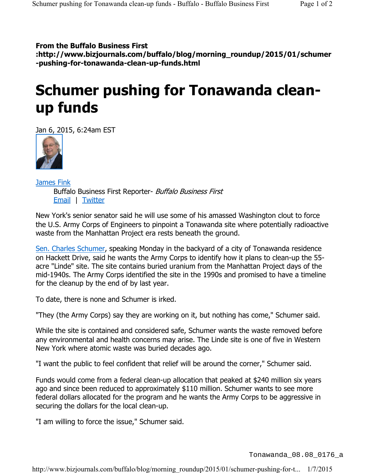## **From the Buffalo Business First**

**:http://www.bizjournals.com/buffalo/blog/morning\_roundup/2015/01/schumer -pushing-for-tonawanda-clean-up-funds.html**

## **Schumer pushing for Tonawanda cleanup funds**

Jan 6, 2015, 6:24am EST



James Fink Buffalo Business First Reporter- Buffalo Business First Email | Twitter

New York's senior senator said he will use some of his amassed Washington clout to force the U.S. Army Corps of Engineers to pinpoint a Tonawanda site where potentially radioactive waste from the Manhattan Project era rests beneath the ground.

Sen. Charles Schumer, speaking Monday in the backyard of a city of Tonawanda residence on Hackett Drive, said he wants the Army Corps to identify how it plans to clean-up the 55 acre "Linde" site. The site contains buried uranium from the Manhattan Project days of the mid-1940s. The Army Corps identified the site in the 1990s and promised to have a timeline for the cleanup by the end of by last year.

To date, there is none and Schumer is irked.

"They (the Army Corps) say they are working on it, but nothing has come," Schumer said.

While the site is contained and considered safe, Schumer wants the waste removed before any environmental and health concerns may arise. The Linde site is one of five in Western New York where atomic waste was buried decades ago.

"I want the public to feel confident that relief will be around the corner," Schumer said.

Funds would come from a federal clean-up allocation that peaked at \$240 million six years ago and since been reduced to approximately \$110 million. Schumer wants to see more federal dollars allocated for the program and he wants the Army Corps to be aggressive in securing the dollars for the local clean-up.

"I am willing to force the issue," Schumer said.